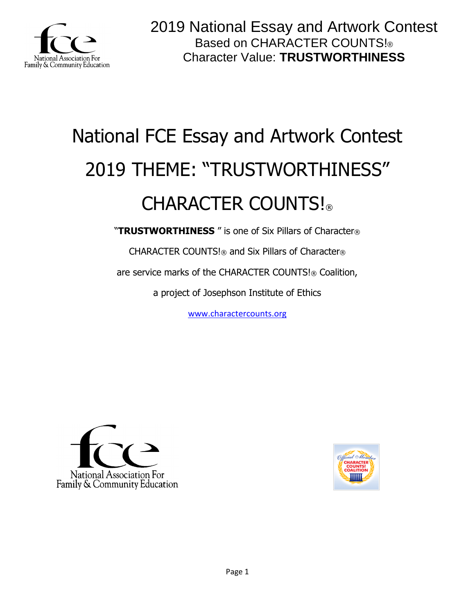

# National FCE Essay and Artwork Contest 2019 THEME: "TRUSTWORTHINESS" CHARACTER COUNTS!

"**TRUSTWORTHINESS** " is one of Six Pillars of Character®

CHARACTER COUNTS!® and Six Pillars of Character®

are service marks of the CHARACTER COUNTS!® Coalition,

a project of Josephson Institute of Ethics

[www.charactercounts.org](http://www.charactercounts.org/)



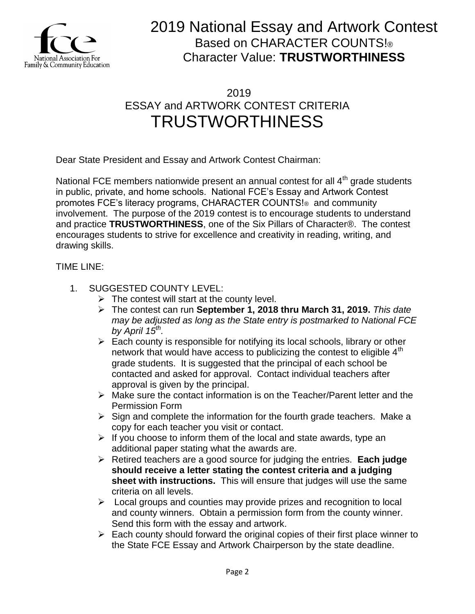

### 2019 ESSAY and ARTWORK CONTEST CRITERIA TRUSTWORTHINESS

Dear State President and Essay and Artwork Contest Chairman:

National FCE members nationwide present an annual contest for all  $4<sup>th</sup>$  grade students in public, private, and home schools. National FCE's Essay and Artwork Contest promotes FCE's literacy programs, CHARACTER COUNTS!® and community involvement. The purpose of the 2019 contest is to encourage students to understand and practice **TRUSTWORTHINESS**, one of the Six Pillars of Character®. The contest encourages students to strive for excellence and creativity in reading, writing, and drawing skills.

### TIME LINE:

- 1. SUGGESTED COUNTY LEVEL:
	- $\triangleright$  The contest will start at the county level.
	- The contest can run **September 1, 2018 thru March 31, 2019.** *This date may be adjusted as long as the State entry is postmarked to National FCE by April 15th .*
	- $\triangleright$  Each county is responsible for notifying its local schools, library or other network that would have access to publicizing the contest to eligible  $4<sup>th</sup>$ grade students. It is suggested that the principal of each school be contacted and asked for approval. Contact individual teachers after approval is given by the principal.
	- Make sure the contact information is on the Teacher/Parent letter and the Permission Form
	- $\triangleright$  Sign and complete the information for the fourth grade teachers. Make a copy for each teacher you visit or contact.
	- $\triangleright$  If you choose to inform them of the local and state awards, type an additional paper stating what the awards are.
	- Retired teachers are a good source for judging the entries. **Each judge should receive a letter stating the contest criteria and a judging sheet with instructions.** This will ensure that judges will use the same criteria on all levels.
	- $\triangleright$  Local groups and counties may provide prizes and recognition to local and county winners. Obtain a permission form from the county winner. Send this form with the essay and artwork.
	- $\triangleright$  Each county should forward the original copies of their first place winner to the State FCE Essay and Artwork Chairperson by the state deadline.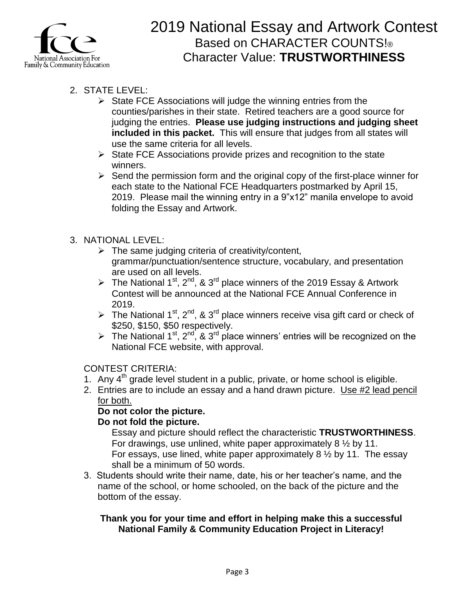

- 2. STATE LEVEL:
	- $\triangleright$  State FCE Associations will judge the winning entries from the counties/parishes in their state. Retired teachers are a good source for judging the entries. **Please use judging instructions and judging sheet included in this packet.** This will ensure that judges from all states will use the same criteria for all levels.
	- $\triangleright$  State FCE Associations provide prizes and recognition to the state winners.
	- $\triangleright$  Send the permission form and the original copy of the first-place winner for each state to the National FCE Headquarters postmarked by April 15, 2019. Please mail the winning entry in a 9"x12" manila envelope to avoid folding the Essay and Artwork.

### 3. NATIONAL LEVEL:

- $\triangleright$  The same judging criteria of creativity/content, grammar/punctuation/sentence structure, vocabulary, and presentation are used on all levels.
- The National 1<sup>st</sup>, 2<sup>nd</sup>, & 3<sup>rd</sup> place winners of the 2019 Essay & Artwork Contest will be announced at the National FCE Annual Conference in 2019.
- The National 1<sup>st</sup>, 2<sup>nd</sup>, & 3<sup>rd</sup> place winners receive visa gift card or check of \$250, \$150, \$50 respectively.
- The National 1<sup>st</sup>, 2<sup>nd</sup>, & 3<sup>rd</sup> place winners' entries will be recognized on the National FCE website, with approval.

### CONTEST CRITERIA:

- 1. Any  $4<sup>th</sup>$  grade level student in a public, private, or home school is eligible.
- 2. Entries are to include an essay and a hand drawn picture. Use #2 lead pencil for both.

### **Do not color the picture.**

### **Do not fold the picture.**

Essay and picture should reflect the characteristic **TRUSTWORTHINESS**. For drawings, use unlined, white paper approximately 8 ½ by 11. For essays, use lined, white paper approximately 8 ½ by 11. The essay shall be a minimum of 50 words.

3. Students should write their name, date, his or her teacher's name, and the name of the school, or home schooled, on the back of the picture and the bottom of the essay.

#### **Thank you for your time and effort in helping make this a successful National Family & Community Education Project in Literacy!**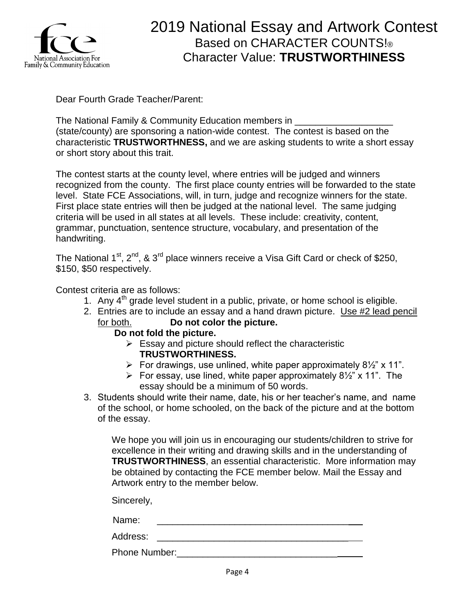

Dear Fourth Grade Teacher/Parent:

The National Family & Community Education members in (state/county) are sponsoring a nation-wide contest. The contest is based on the characteristic **TRUSTWORTHNESS,** and we are asking students to write a short essay or short story about this trait.

The contest starts at the county level, where entries will be judged and winners recognized from the county. The first place county entries will be forwarded to the state level. State FCE Associations, will, in turn, judge and recognize winners for the state. First place state entries will then be judged at the national level. The same judging criteria will be used in all states at all levels. These include: creativity, content, grammar, punctuation, sentence structure, vocabulary, and presentation of the handwriting.

The National  $1^{st}$ ,  $2^{nd}$ , &  $3^{rd}$  place winners receive a Visa Gift Card or check of \$250. \$150, \$50 respectively.

Contest criteria are as follows:

- 1. Any  $4<sup>th</sup>$  grade level student in a public, private, or home school is eligible.
- 2. Entries are to include an essay and a hand drawn picture. Use #2 lead pencil for both. **Do not color the picture.**
	- **Do not fold the picture.**
		- $\triangleright$  Essay and picture should reflect the characteristic **TRUSTWORTHINESS.**
		- For drawings, use unlined, white paper approximately  $8\frac{1}{2}$ " x 11".
		- For essay, use lined, white paper approximately  $8\frac{1}{2}$ " x 11". The essay should be a minimum of 50 words.
- 3. Students should write their name, date, his or her teacher's name, and name of the school, or home schooled, on the back of the picture and at the bottom of the essay.

We hope you will join us in encouraging our students/children to strive for excellence in their writing and drawing skills and in the understanding of **TRUSTWORTHINESS**, an essential characteristic. More information may be obtained by contacting the FCE member below. Mail the Essay and Artwork entry to the member below.

Sincerely,

Name: \_\_\_\_\_\_\_\_\_\_\_\_\_\_\_\_\_\_\_\_\_\_\_\_\_\_\_\_\_\_\_\_\_\_\_\_\_

Address: \_\_\_\_\_\_\_\_\_\_\_\_\_\_\_\_\_\_\_\_\_\_\_\_\_\_\_\_\_\_\_\_\_\_\_\_\_

Phone Number:\_\_\_\_\_\_\_\_\_\_\_\_\_\_\_\_\_\_\_\_\_\_\_\_\_\_\_\_\_\_\_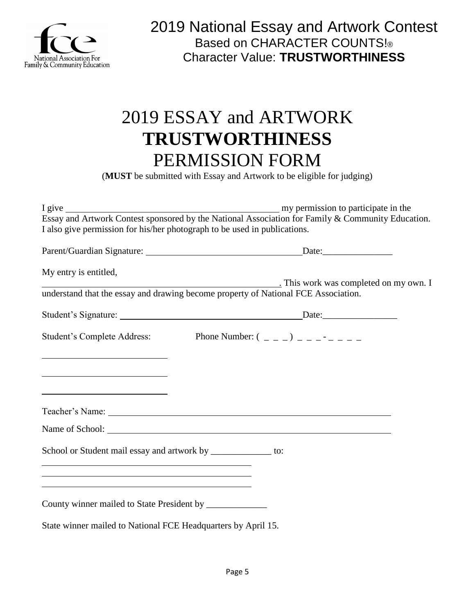

# 2019 ESSAY and ARTWORK **TRUSTWORTHINESS** PERMISSION FORM

(**MUST** be submitted with Essay and Artwork to be eligible for judging)

| Essay and Artwork Contest sponsored by the National Association for Family & Community Education.                         |
|---------------------------------------------------------------------------------------------------------------------------|
| I also give permission for his/her photograph to be used in publications.                                                 |
|                                                                                                                           |
|                                                                                                                           |
|                                                                                                                           |
|                                                                                                                           |
| understand that the essay and drawing become property of National FCE Association.                                        |
|                                                                                                                           |
|                                                                                                                           |
| Student's Complete Address: Phone Number: $(2, 2)$                                                                        |
|                                                                                                                           |
|                                                                                                                           |
|                                                                                                                           |
|                                                                                                                           |
|                                                                                                                           |
|                                                                                                                           |
|                                                                                                                           |
|                                                                                                                           |
| School or Student mail essay and artwork by ______________ to:                                                            |
| <u> 1989 - Johann Stoff, Amerikaansk politiker († 1908)</u><br><u> 1989 - Johann Stoff, amerikansk politiker (* 1908)</u> |
| and the control of the control of the control of the control of the control of the control of the control of the          |
|                                                                                                                           |
| County winner mailed to State President by _____________                                                                  |
| State winner mailed to National FCE Headquarters by April 15.                                                             |
|                                                                                                                           |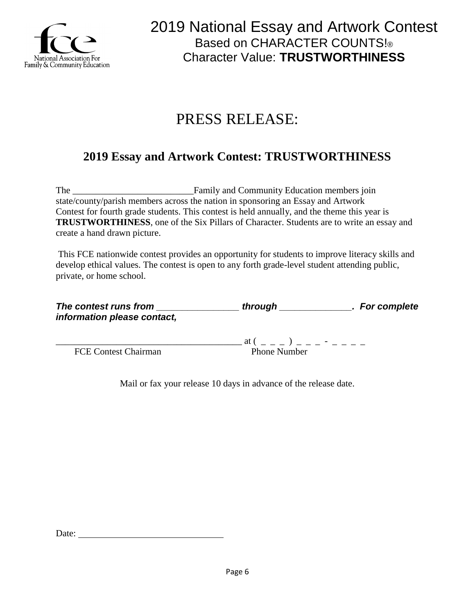

# PRESS RELEASE:

### **2019 Essay and Artwork Contest: TRUSTWORTHINESS**

The \_\_\_\_\_\_\_\_\_\_\_\_\_\_\_\_\_\_\_\_\_\_\_\_\_\_Family and Community Education members join state/county/parish members across the nation in sponsoring an Essay and Artwork Contest for fourth grade students. This contest is held annually, and the theme this year is **TRUSTWORTHINESS**, one of the Six Pillars of Character. Students are to write an essay and create a hand drawn picture.

This FCE nationwide contest provides an opportunity for students to improve literacy skills and develop ethical values. The contest is open to any forth grade-level student attending public, private, or home school.

| The contest runs from       | through                                                                 | . For complete |
|-----------------------------|-------------------------------------------------------------------------|----------------|
| information please contact, |                                                                         |                |
|                             | at (<br>$\mathbf{1}$ and $\mathbf{1}$ and $\mathbf{1}$ and $\mathbf{1}$ |                |
| <b>FCE Contest Chairman</b> | <b>Phone Number</b>                                                     |                |

Mail or fax your release 10 days in advance of the release date.

Date: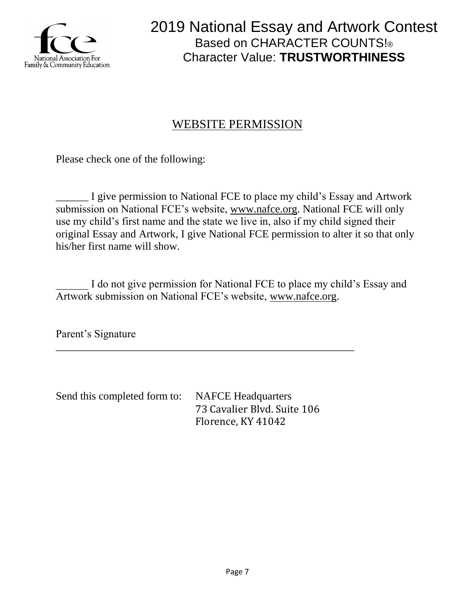

### WEBSITE PERMISSION

Please check one of the following:

\_\_\_\_\_\_ I give permission to National FCE to place my child's Essay and Artwork submission on National FCE's website, [www.nafce.org.](http://www.nafce.org/) National FCE will only use my child's first name and the state we live in, also if my child signed their original Essay and Artwork, I give National FCE permission to alter it so that only his/her first name will show.

I do not give permission for National FCE to place my child's Essay and Artwork submission on National FCE's website, [www.nafce.org.](http://www.nafce.org/)

Parent's Signature

Send this completed form to: NAFCE Headquarters 73 Cavalier Blvd. Suite 106 Florence, KY 41042

\_\_\_\_\_\_\_\_\_\_\_\_\_\_\_\_\_\_\_\_\_\_\_\_\_\_\_\_\_\_\_\_\_\_\_\_\_\_\_\_\_\_\_\_\_\_\_\_\_\_\_\_\_\_\_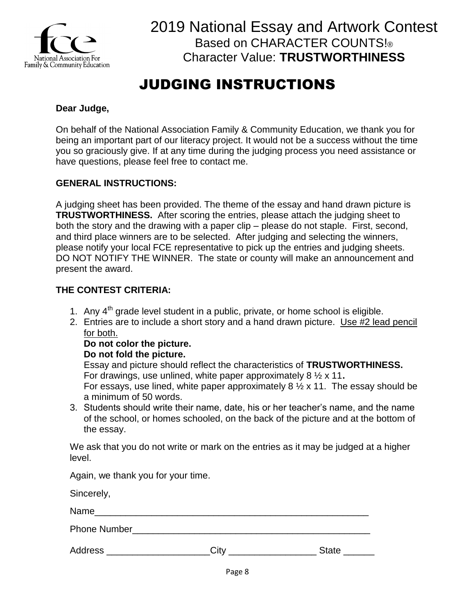

# JUDGING INSTRUCTIONS

### **Dear Judge,**

On behalf of the National Association Family & Community Education, we thank you for being an important part of our literacy project. It would not be a success without the time you so graciously give. If at any time during the judging process you need assistance or have questions, please feel free to contact me.

#### **GENERAL INSTRUCTIONS:**

A judging sheet has been provided. The theme of the essay and hand drawn picture is **TRUSTWORTHINESS.** After scoring the entries, please attach the judging sheet to both the story and the drawing with a paper clip – please do not staple. First, second, and third place winners are to be selected. After judging and selecting the winners, please notify your local FCE representative to pick up the entries and judging sheets. DO NOT NOTIFY THE WINNER. The state or county will make an announcement and present the award.

### **THE CONTEST CRITERIA:**

- 1. Any  $4<sup>th</sup>$  grade level student in a public, private, or home school is eligible.
- 2. Entries are to include a short story and a hand drawn picture. Use #2 lead pencil for both.

#### **Do not color the picture.**

#### **Do not fold the picture.**

Essay and picture should reflect the characteristics of **TRUSTWORTHINESS.** For drawings, use unlined, white paper approximately 8 ½ x 11**.** For essays, use lined, white paper approximately  $8\frac{1}{2} \times 11$ . The essay should be a minimum of 50 words.

3. Students should write their name, date, his or her teacher's name, and the name of the school, or homes schooled, on the back of the picture and at the bottom of the essay.

We ask that you do not write or mark on the entries as it may be judged at a higher level.

Again, we thank you for your time.

Sincerely,

Name

Phone Number

Address **Example 20** City **Contract Contract Contract Contract Contract Contract Contract Contract Contract Contract Contract Contract Contract Contract Contract Contract Contract Contract Contract Contract Contract Contra**